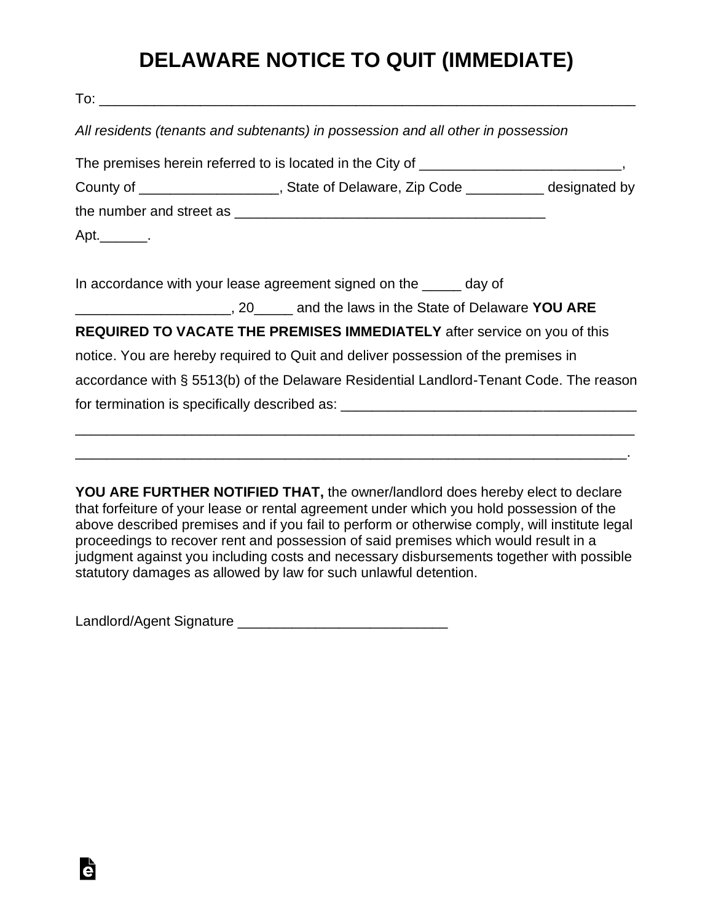## **DELAWARE NOTICE TO QUIT (IMMEDIATE)**

| All residents (tenants and subtenants) in possession and all other in possession       |  |
|----------------------------------------------------------------------------------------|--|
|                                                                                        |  |
| County of ______________________, State of Delaware, Zip Code __________ designated by |  |
|                                                                                        |  |
| Apt.                                                                                   |  |
| In accordance with your lease agreement signed on the _____ day of                     |  |
| ____________________________, 20_______ and the laws in the State of Delaware YOU ARE  |  |
| REQUIRED TO VACATE THE PREMISES IMMEDIATELY after service on you of this               |  |
| notice. You are hereby required to Quit and deliver possession of the premises in      |  |
| accordance with § 5513(b) of the Delaware Residential Landlord-Tenant Code. The reason |  |
| for termination is specifically described as: __________________________________       |  |
|                                                                                        |  |
|                                                                                        |  |

**YOU ARE FURTHER NOTIFIED THAT,** the owner/landlord does hereby elect to declare that forfeiture of your lease or rental agreement under which you hold possession of the above described premises and if you fail to perform or otherwise comply, will institute legal proceedings to recover rent and possession of said premises which would result in a judgment against you including costs and necessary disbursements together with possible statutory damages as allowed by law for such unlawful detention.

Landlord/Agent Signature \_\_\_\_\_\_\_\_\_\_\_\_\_\_\_\_\_\_\_\_\_\_\_\_\_\_\_